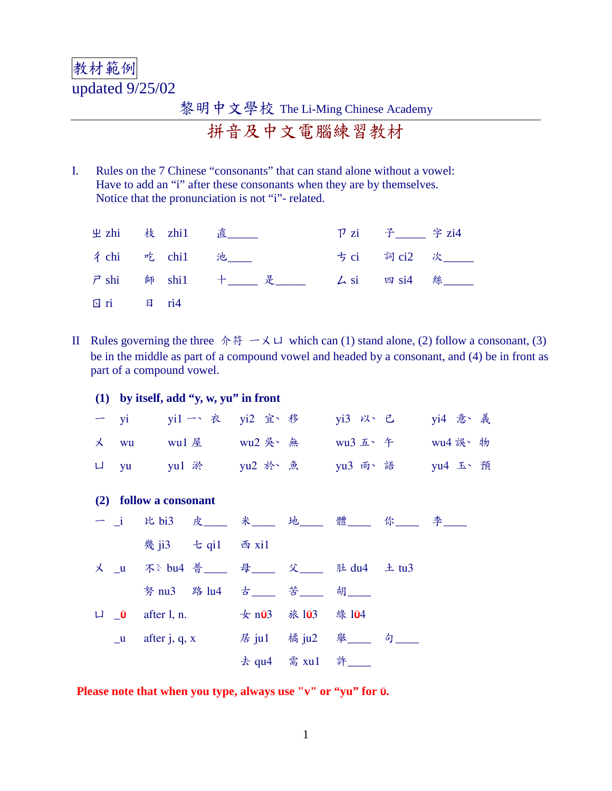## 教材範例 updated 9/25/02

## 黎明中文學校 The Li-Ming Chinese Academy

拼音及中文電腦練習教材

I. Rules on the 7 Chinese "consonants" that can stand alone without a vowel: Have to add an "i" after these consonants when they are by themselves. Notice that the pronunciation is not "i"- related.

|                      |  | 出 zhi 枝 zhi1 直                              | P zi 子___ 字 zi4 |                |
|----------------------|--|---------------------------------------------|-----------------|----------------|
|                      |  | 彳 chi   吃 chi1   池____                      |                 | ちci 詞ci2 次____ |
|                      |  | ア shi 師 shi1 十__ 是___   厶 si   四 si4   絲___ |                 |                |
| $\Box$ ri $\Box$ ri4 |  |                                             |                 |                |

- II Rules governing the three  $\hat{\pi} \oplus \hat{\pi} \to \hat{\pi}$  which can (1) stand alone, (2) follow a consonant, (3) be in the middle as part of a compound vowel and headed by a consonant, and (4) be in front as part of a compound vowel.
	- **(1) by itself, add "y, w, yu" in front** 一 yi yi1 一 衣 yi2 宜 移 yi3 以 已 yi4 意 義 メ wu wu1屋 wu2 吳、無 wu3 五、午 wu4 誤、物 ロ yu yu1 淤 yu2 於 魚 yu3 雨、語 yu4 玉、預 **(2) follow a consonant** 一 \_i 比 bi3 皮\_\_\_ 米\_\_\_ 地\_\_\_ 體\_\_\_ 你\_\_\_ 李\_\_\_ \ ]5= ^ \_56 ` a56 **× \_u** 不 <sup>☆</sup> bu4 普 \_\_ 母 \_\_ 父 \_\_ 肚 du4 ± tu3 努 nu3 路 lu4 古\_\_\_ 苦\_\_\_ 胡\_\_\_ **LI** \_0 after 1, n.  $\frac{1}{2}$  by n03 旅 103 綠 104 \_u after j, q, x 居 ju1 橘 ju2 舉\_\_\_ 句\_\_\_ 去 qu4 需 xu1 許

**Please note that when you type, always use "v" or "yu" for**  $\theta$ **.**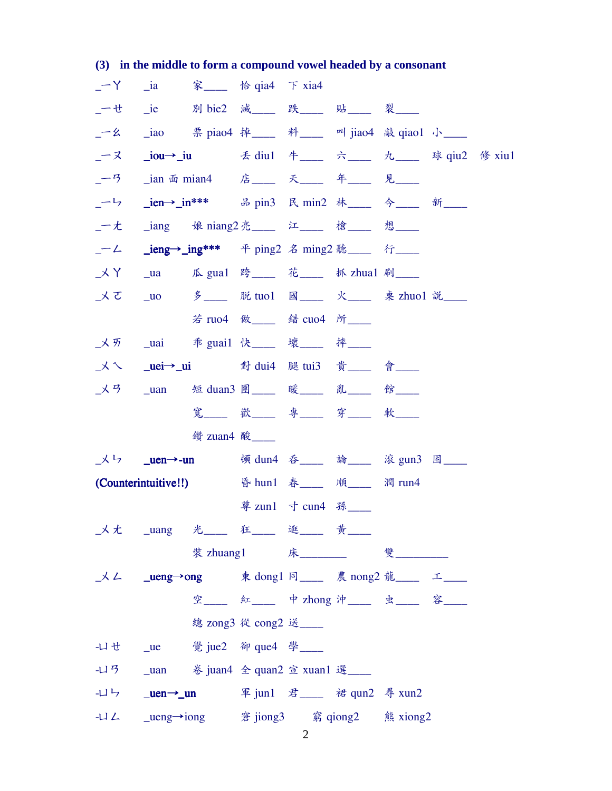|         |                                 | $\mathcal{O}_1$ in the middle to form a compound vower headed by a consonant |                          |                    |                                  |        |  |
|---------|---------------------------------|------------------------------------------------------------------------------|--------------------------|--------------------|----------------------------------|--------|--|
|         |                                 | $-Y$ _ia   家___ 恰 qia4 下 xia4                                                |                          |                    |                                  |        |  |
|         |                                 | _一せ _ie   別 bie2 減___ 跌____ 貼___ 裂____                                       |                          |                    |                                  |        |  |
|         |                                 | _一幺 _iao 票 piao4 掉____ 料____ 叫 jiao4 敲 qiao1 小___                            |                          |                    |                                  |        |  |
| _一ヌ ___ |                                 |                                                                              |                          |                    |                                  |        |  |
| $-9$    |                                 | _ian 面 mian4   店_____ 天____ 年____ 見____                                      |                          |                    |                                  |        |  |
|         |                                 | _一ㄣ _ien→_in*** 品 pin3 民 min2 林___ 今___ 新___                                 |                          |                    |                                  |        |  |
|         |                                 | _一尢  _iang   娘 niang2 亮____ 江____ 槍____ 想____                                |                          |                    |                                  |        |  |
| $-2$    |                                 | <b>_ieng→_ing***</b> 平 ping2 名 ming2 聽___ 行___                               |                          |                    |                                  |        |  |
|         |                                 | _メY _ua 瓜 gua1 跨___ 花___ 抓 zhua1 刷___                                        |                          |                    |                                  |        |  |
|         |                                 | _メて _uo 多___ 脱tuo1 國___ 火___ 桌 zhuo1 説___                                    |                          |                    |                                  |        |  |
|         |                                 |                                                                              | 若 ruo4 做____ 錯 cuo4 所___ |                    |                                  |        |  |
|         |                                 |                                                                              |                          |                    |                                  |        |  |
|         |                                 | _ㄨㄟ  _ <b>uei→_ui</b> 對 dui4   腿 tui3     貴____     會____                    |                          |                    |                                  |        |  |
| メター     |                                 | _uan   短 duan3 團____ 暖____ 亂____ 館____                                       |                          |                    |                                  |        |  |
|         |                                 |                                                                              |                          |                    | 寬___ 歡___ 專___ 穿___ 軟___         |        |  |
|         |                                 | 鑽 zuan4 酸                                                                    |                          |                    |                                  |        |  |
|         | $X \rightarrow$ <b>_uen→-un</b> |                                                                              |                          |                    | 頓 dun4 吞___ 論___ 滾 gun3 困___     |        |  |
|         |                                 | (Counterintuitive!!)      昏 hun1 春____ 順___                                  |                          |                    |                                  | 潤 run4 |  |
|         |                                 |                                                                              |                          | 尊 zun1 寸 cun4 孫___ |                                  |        |  |
|         |                                 |                                                                              |                          |                    |                                  |        |  |
|         |                                 |                                                                              |                          |                    |                                  |        |  |
|         |                                 | _メム _ueng→ong 東 dong1 同___ 農 nong2 龍___ 工___                                 |                          |                    |                                  |        |  |
|         |                                 |                                                                              |                          |                    | 空___ 紅___ 中 zhong 沖___ 虫___ 容___ |        |  |
|         |                                 |                                                                              | 總 zong3 從 cong2 送___     |                    |                                  |        |  |
|         |                                 | - $\sqcup$ せ _ue 覺 jue2 卻 que4 學 ____                                        |                          |                    |                                  |        |  |
|         |                                 |                                                                              |                          |                    |                                  |        |  |
|         |                                 | -山ら _uen→_un 軍jun1 君___ 裙 qun2 尋 xun2                                        |                          |                    |                                  |        |  |
|         |                                 |                                                                              |                          |                    |                                  |        |  |

## (3) in the middle to form a compound vowel headed by a consonant